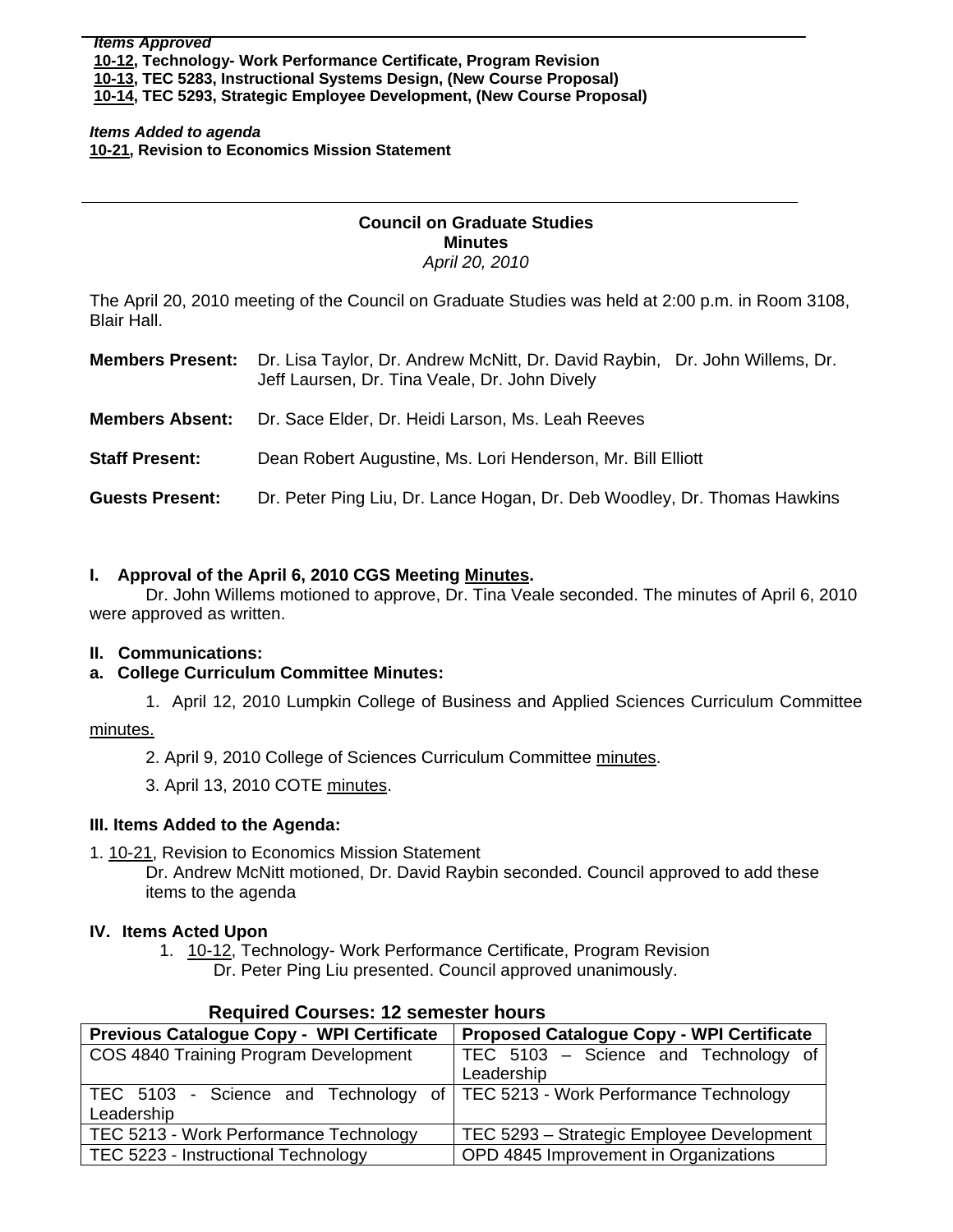*Items Added to agenda*  **[10-21,](http://www.eiu.edu/~eiucgs/currentagendaitems/agenda10-21.pdf) Revision to Economics Mission Statement** 

#### **Council on Graduate Studies Minutes**  *April 20, 2010*

The April 20, 2010 meeting of the Council on Graduate Studies was held at 2:00 p.m. in Room 3108, Blair Hall.

| <b>Members Present:</b> | Dr. Lisa Taylor, Dr. Andrew McNitt, Dr. David Raybin, Dr. John Willems, Dr.<br>Jeff Laursen, Dr. Tina Veale, Dr. John Dively |  |
|-------------------------|------------------------------------------------------------------------------------------------------------------------------|--|
| <b>Members Absent:</b>  | Dr. Sace Elder, Dr. Heidi Larson, Ms. Leah Reeves                                                                            |  |
| <b>Staff Present:</b>   | Dean Robert Augustine, Ms. Lori Henderson, Mr. Bill Elliott                                                                  |  |
| <b>Guests Present:</b>  | Dr. Peter Ping Liu, Dr. Lance Hogan, Dr. Deb Woodley, Dr. Thomas Hawkins                                                     |  |

## **I. Approval of the April 6, 2010 CGS Meetin[g Minutes.](http://www.eiu.edu/~eiucgs/currentminutes/Minutes4-6-10.pdf)**

 Dr. John Willems motioned to approve, Dr. Tina Veale seconded. The minutes of April 6, 2010 were approved as written.

#### **II. Communications:**

## **a. College Curriculum Committee Minutes:**

1. April 12, 2010 Lumpkin College of Business and Applied Sciences Curriculum Committee

#### [minutes.](http://www.eiu.edu/~eiucgs/currentagendaitems/LCBASMin4-12-10.pdf)

Ì

- 2. April 9, 2010 College of Sciences Curriculum Committe[e minutes.](http://www.eiu.edu/~eiucgs/currentagendaitems/COSMin4-9-10.pdf)
- 3. April 13, 2010 COTE [minutes.](http://www.eiu.edu/~eiucgs/currentagendaitems/COTEMin4-13-10.pdf)

## **III. Items Added to the Agenda:**

1. [10-21, Re](http://www.eiu.edu/~eiucgs/currentagendaitems/agenda10-21.pdf)vision to Economics Mission Statement

Dr. Andrew McNitt motioned, Dr. David Raybin seconded. Council approved to add these items to the agenda

## **IV. Items Acted Upon**

1. [10-12, T](http://www.eiu.edu/~eiucgs/currentagendaitems/agenda10-12.pdf)echnology- Work Performance Certificate, Program Revision Dr. Peter Ping Liu presented. Council approved unanimously.

| RUGULUU OOUI 363. TE SUNGSIGI NOUI S                                        |                                                  |  |  |
|-----------------------------------------------------------------------------|--------------------------------------------------|--|--|
| Previous Catalogue Copy - WPI Certificate                                   | <b>Proposed Catalogue Copy - WPI Certificate</b> |  |  |
| COS 4840 Training Program Development                                       | TEC 5103 - Science and Technology of             |  |  |
|                                                                             | Leadership                                       |  |  |
| TEC 5103 - Science and Technology of TEC 5213 - Work Performance Technology |                                                  |  |  |
| Leadership                                                                  |                                                  |  |  |
| TEC 5213 - Work Performance Technology                                      | TEC 5293 - Strategic Employee Development        |  |  |
| TEC 5223 - Instructional Technology                                         | OPD 4845 Improvement in Organizations            |  |  |

## **Required Courses: 12 semester hours**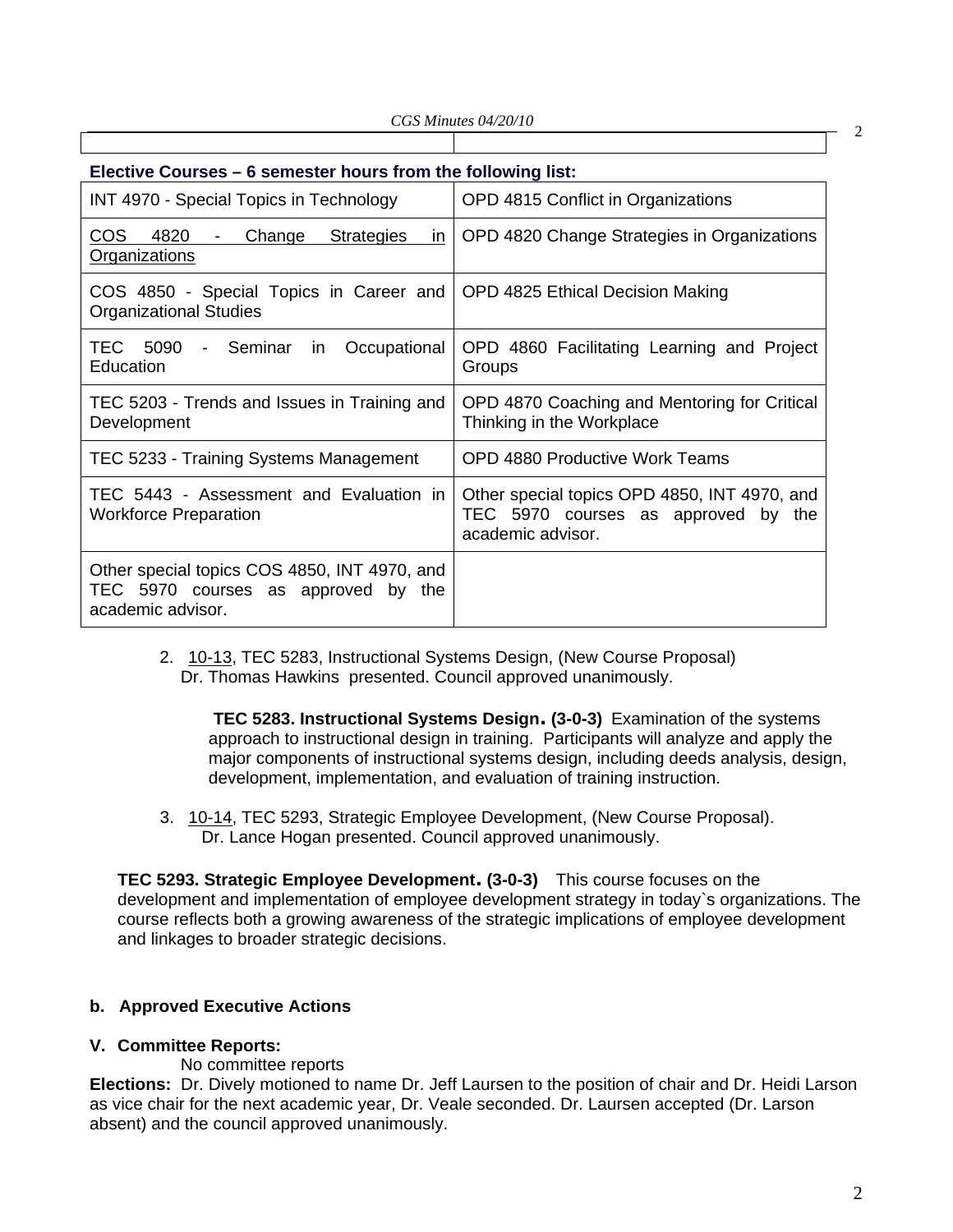| Elective Courses – 6 semester hours from the following list:                                                  |                                                                                                          |  |  |
|---------------------------------------------------------------------------------------------------------------|----------------------------------------------------------------------------------------------------------|--|--|
| INT 4970 - Special Topics in Technology                                                                       | OPD 4815 Conflict in Organizations                                                                       |  |  |
| <b>COS</b><br>4820<br>Change<br><b>Strategies</b><br>$\overline{m}$<br>$\blacksquare$<br><b>Organizations</b> | OPD 4820 Change Strategies in Organizations                                                              |  |  |
| COS 4850 - Special Topics in Career and<br><b>Organizational Studies</b>                                      | OPD 4825 Ethical Decision Making                                                                         |  |  |
| - Seminar<br>TEC 5090<br>Occupational<br>in<br>Education                                                      | OPD 4860 Facilitating Learning and Project<br>Groups                                                     |  |  |
| TEC 5203 - Trends and Issues in Training and<br>Development                                                   | OPD 4870 Coaching and Mentoring for Critical<br>Thinking in the Workplace                                |  |  |
| TEC 5233 - Training Systems Management                                                                        | OPD 4880 Productive Work Teams                                                                           |  |  |
| TEC 5443 - Assessment and Evaluation in<br><b>Workforce Preparation</b>                                       | Other special topics OPD 4850, INT 4970, and<br>TEC 5970 courses as approved by the<br>academic advisor. |  |  |
| Other special topics COS 4850, INT 4970, and<br>TEC 5970 courses as approved by the<br>academic advisor.      |                                                                                                          |  |  |

2. [10-13,](http://www.eiu.edu/~eiucgs/currentagendaitems/agenda10-13.pdf) TEC 5283, Instructional Systems Design, (New Course Proposal) Dr. Thomas Hawkins presented. Council approved unanimously.

**TEC 5283. Instructional Systems Design. (3-0-3)** Examination of the systems approach to instructional design in training. Participants will analyze and apply the major components of instructional systems design, including deeds analysis, design, development, implementation, and evaluation of training instruction.

 3. [10-14, T](http://www.eiu.edu/~eiucgs/currentagendaitems/agenda10-14.pdf)EC 5293, Strategic Employee Development, (New Course Proposal). Dr. Lance Hogan presented. Council approved unanimously.

**TEC 5293. Strategic Employee Development. (3-0-3)** This course focuses on the development and implementation of employee development strategy in today`s organizations. The course reflects both a growing awareness of the strategic implications of employee development and linkages to broader strategic decisions.

## **b. Approved Executive Actions**

#### **V. Committee Reports:**

No committee reports

**Elections:** Dr. Dively motioned to name Dr. Jeff Laursen to the position of chair and Dr. Heidi Larson as vice chair for the next academic year, Dr. Veale seconded. Dr. Laursen accepted (Dr. Larson absent) and the council approved unanimously.